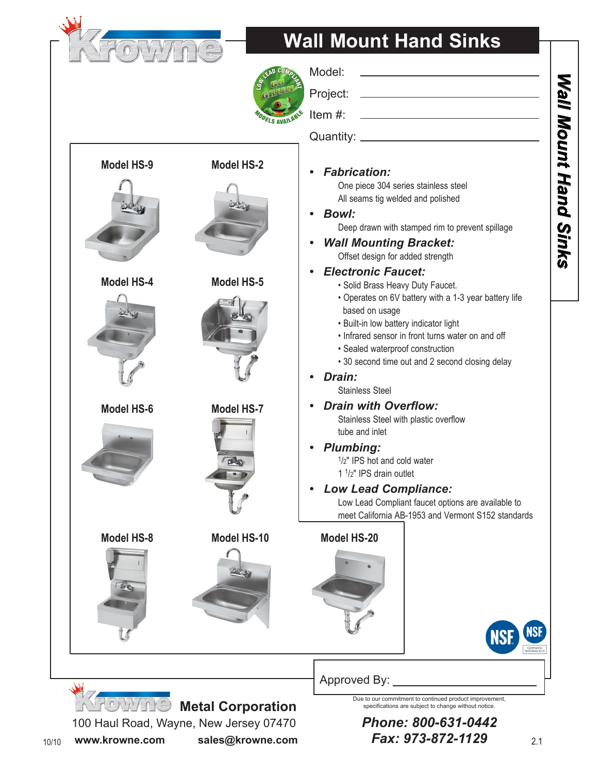

**Model HS-9 Model HS-2**

**Model HS-4 Model HS-5**

**Model HS-6 Model HS-7**

Dalla

# **Wall Mount Hand Sinks**



Model:

| Project: |  |
|----------|--|
|          |  |

Item #:

Quantity: \_

### *• Fabrication:*

One piece 304 series stainless steel All seams tig welded and polished

#### *• Bowl:* Deep drawn with stamped rim to prevent spillage

*Wall Mounting Bracket:* Offset design for added strength

### *• Electronic Faucet:*

- Solid Brass Heavy Duty Faucet.
- Operates on 6V battery with a 1-3 year battery life based on usage
- Built-in low battery indicator light
- Infrared sensor in front turns water on and off
- Sealed waterproof construction
- 30 second time out and 2 second closing delay

### *• Drain:*

Stainless Steel

*Drain with Overflow:*  Stainless Steel with plastic overflow tube and inlet

# *• Plumbing:*

1/2" IPS hot and cold water 1 1/2" IPS drain outlet

**Low Lead Compliance:** Low Lead Compliant faucet options are available to meet California AB-1953 and Vermont S152 standards

### **Model HS-8 Model HS-10 Model HS-20**





## Approved By:

 *<b>MOWING* Metal Corporation

100 Haul Road, Wayne, New Jersey 07470 10/10 **www.krowne.com sales@krowne.com** Due to our commitment to continued product improvement, specifications are subject to change without notice.

*Phone: 800-631-0442 Fax: 973-872-1129*